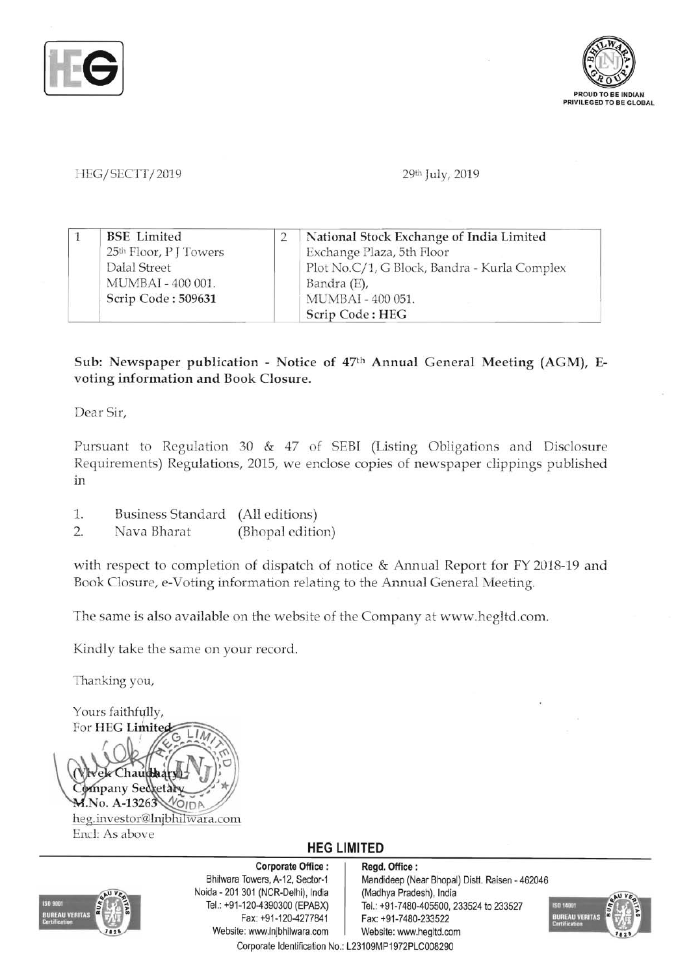



## HEG/SECTT/2019 29th July, 2019

| <b>BSE</b> Limited                 | National Stock Exchange of India Limited     |
|------------------------------------|----------------------------------------------|
| 25 <sup>th</sup> Floor, P J Towers | Exchange Plaza, 5th Floor                    |
| Dalal Street                       | Plot No.C/1, G Block, Bandra - Kurla Complex |
| MUMBAI - 400 001.                  | Bandra (E),                                  |
| Scrip Code: 509631                 | MUMBAI - 400 051.                            |
|                                    | Scrip Code: HEG                              |

## Sub: Newspaper publication - Notice of 47th Annual General Meeting (AGM), Evoting information and Book Closure.

Dear Sir,

Pursuant to Regulation 30 & 47 of SEBI (Listing Obligations and Disclosure Requirements) Regulations, 2015, we enclose copies of newspaper clippings published In

- 1. Business Standard (All editions)
- 2. Nava Bharat (Bhopal edition)

with respect to completion of dispatch of notice & Annual Report for FY 2018-19 and Book Closure, e-Voting information relating to the Annual General Meeting.

The same is also available on the website of the Company at www.hegltd.com.

Kindly take the same on your record.

Thanking you,

Yours faithfully, For HEG Limite hau mpany Sed M.No. A-13263 heg.investor@Injbhilwara.com Encl: As above

## **HEG LIMITED**



Corporate Office: | Regd. Office: Noida - 201 301 (NCR-Delhi), India (Madhya Pradesh), India Fax: +91-120-4277841 Fax: +91-7480-233522 Website: www.lnjbhilwara.com | Website: www.hegltd.com Corporate Identification No.: L231 09MP1972PLC008290

Bhilwara Towers, A-12, Sector-1 Mandideep (Near Bhopal) Distt. Raisen - 462046 Tel.: +91-120-4390300 (EPABX) Tel.: +91-7480-405500, 233524 to 233527

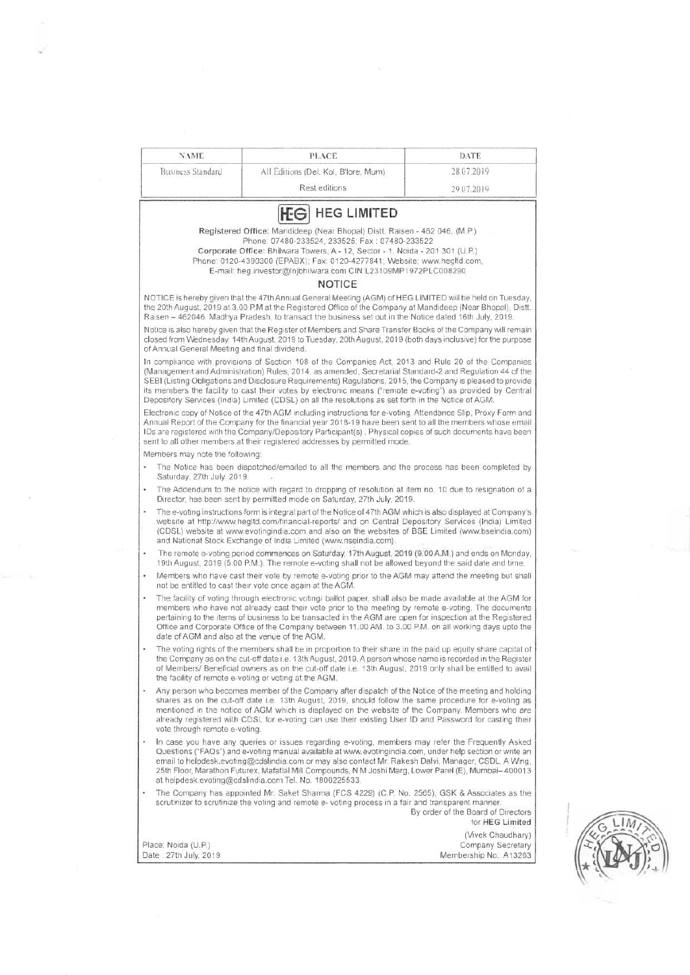| <b>NAME</b>                                        | <b>PLACE</b>                                                                                                                                                                                                                                                                                                                                                                                                                                                                                                                                           | <b>DATE</b>                                                      |  |  |
|----------------------------------------------------|--------------------------------------------------------------------------------------------------------------------------------------------------------------------------------------------------------------------------------------------------------------------------------------------------------------------------------------------------------------------------------------------------------------------------------------------------------------------------------------------------------------------------------------------------------|------------------------------------------------------------------|--|--|
| <b>Business Standard</b>                           | All Editions (Del, Kol, B'lore, Mum).                                                                                                                                                                                                                                                                                                                                                                                                                                                                                                                  | 28.07.2019                                                       |  |  |
|                                                    | Rest editions                                                                                                                                                                                                                                                                                                                                                                                                                                                                                                                                          | 29 07 2019                                                       |  |  |
|                                                    | <b>HEG LIMITED</b><br><b>IFG</b>                                                                                                                                                                                                                                                                                                                                                                                                                                                                                                                       |                                                                  |  |  |
|                                                    | Registered Office: Mandideep (Near Bhopal) Distt. Raisen - 462 046, (M.P.)                                                                                                                                                                                                                                                                                                                                                                                                                                                                             |                                                                  |  |  |
|                                                    | Phone: 07480-233524, 233525; Fax: 07480-233522                                                                                                                                                                                                                                                                                                                                                                                                                                                                                                         |                                                                  |  |  |
|                                                    | Corporate Office: Bhilwara Towers, A - 12, Sector - 1. Noida - 201 301 (U.P.)<br>Phone: 0120-4390300 (EPABX); Fax: 0120-4277841; Website: www.healtd.com.<br>E-mail: heg.investor@Inibhilwara.com CIN:L23109MP1972PLC008290                                                                                                                                                                                                                                                                                                                            |                                                                  |  |  |
|                                                    | <b>NOTICE</b>                                                                                                                                                                                                                                                                                                                                                                                                                                                                                                                                          |                                                                  |  |  |
|                                                    | NOTICE is hereby given that the 47th Annual General Meeting (AGM) of HEG LIMITED will be held on Tuesday,<br>the 20th August, 2019 at 3.00 P.M at the Registered Office of the Company at Mandideep (Near Bhopal). Distt.<br>Raisen - 462046, Madhya Pradesh, to transact the business set out in the Notice dated 16th July, 2019.                                                                                                                                                                                                                    |                                                                  |  |  |
| of Annual General Meeting and final dividend.      | Notice is also hereby given that the Register of Members and Share Transfer Books of the Company will remain<br>closed from Wednesday, 14th August, 2019 to Tuesday, 20th August, 2019 (both days inclusive) for the purpose                                                                                                                                                                                                                                                                                                                           |                                                                  |  |  |
|                                                    | In compliance with provisions of Section 108 of the Companies Act, 2013 and Rule 20 of the Companies<br>(Management and Administration) Rules, 2014, as amended, Secretarial Standard-2 and Regulation 44 of the<br>SEBI (Listing Obligations and Disclosure Requirements) Regulations, 2015, the Company is pleased to provide<br>its members the facility to cast their votes by electronic means ("remote e-voting") as provided by Central<br>Depository Services (India) Limited (CDSL) on all the resolutions as set forth in the Notice of AGM. |                                                                  |  |  |
|                                                    | Electronic copy of Notice of the 47th AGM including instructions for e-voting. Attendance Slip, Proxy Form and<br>Annual Report of the Company for the financial year 2018-19 have been sent to all the members whose email<br>IDs are registered with the Company/Depository Participant(s). Physical copies of such documents have been<br>sent to all other members at their registered addresses by permitted mode.                                                                                                                                |                                                                  |  |  |
| Members may note the following:                    |                                                                                                                                                                                                                                                                                                                                                                                                                                                                                                                                                        |                                                                  |  |  |
| Saturday, 27th July. 2019.                         | The Notice has been dispatched/emailed to all the members and the process has been completed by                                                                                                                                                                                                                                                                                                                                                                                                                                                        |                                                                  |  |  |
|                                                    | The Addendum to the notice with regard to dropping of resolution at item no. 10 due to resignation of a<br>Director, has been sent by permitted mode on Saturday, 27th July, 2019.                                                                                                                                                                                                                                                                                                                                                                     |                                                                  |  |  |
|                                                    | The e-voting instructions form is integral part of the Notice of 47th AGM which is also displayed at Company's<br>website at http://www.hegitd.com/financial-reports/ and on Central Depository Services (India) Limited<br>(CDSL) website at www.evotingindia.com and also on the websites of BSE Limited (www.bseindia.com)<br>and National Stock Exchange of India Limited (www.nseindia.com).                                                                                                                                                      |                                                                  |  |  |
| ٠                                                  | The remote e-voting period commences on Saturday, 17th August, 2019 (9.00 A.M.) and ends on Monday,<br>19th August, 2019 (5:00 P.M.). The remote e-voting shall not be allowed beyond the said date and time.                                                                                                                                                                                                                                                                                                                                          |                                                                  |  |  |
| ٠                                                  | Members who have cast their vote by remote e-voting prior to the AGM may attend the meeting but shall<br>not be entitled to cast their vote once again at the AGM.                                                                                                                                                                                                                                                                                                                                                                                     |                                                                  |  |  |
| ٠<br>date of AGM and also at the venue of the AGM. | The facility of voting through electronic voting/ ballot paper, shall also be made available at the AGM for<br>members who have not already cast their vote prior to the meeting by remote e-voting. The documents<br>pertaining to the items of business to be transacted in the AGM are open for inspection at the Registered<br>Office and Corporate Office of the Company between 11.00 AM, to 3.00 P.M. on all working days upto the                                                                                                              |                                                                  |  |  |
|                                                    | The voting rights of the members shall be in proportion to their share in the paid up equity share capital of<br>the Company as on the cut-off date i.e. 13th August, 2019. A person whose name is recorded in the Register<br>of Members/ Beneficial owners as on the cut-off date i.e. 13th August, 2019 only shall be entitled to avail<br>the facility of remote e-voting or voting at the AGM.                                                                                                                                                    |                                                                  |  |  |
| vote through remote e-voting.                      | Any person who becomes member of the Company after dispatch of the Notice of the meeting and holding<br>shares as on the cut-off date i.e. 13th August, 2019, should follow the same procedure for e-voting as<br>mentioned in the notice of AGM which is displayed on the website of the Company. Members who are<br>already registered with CDSL for e-voting can use their existing User ID and Password for casting their                                                                                                                          |                                                                  |  |  |
|                                                    | In case you have any queries or issues regarding e-voting, members may refer the Frequently Asked<br>Questions ("FAQs") and e-voting manual available at www.evotingindia.com, under help section or write an<br>email to helpdesk.evoting@cdslindia.com or may also contact Mr. Rakesh Dalvi, Manager, CSDL, A Wing,<br>25th Floor, Marathon Futurex, Mafatlal Mill Compounds, N M Joshi Marg, Lower Parel (E), Mumbai-400013<br>at helpdesk.evoting@cdslindia.com Tel. No. 1800225533.                                                               |                                                                  |  |  |
| ٠                                                  | The Company has appointed Mr. Saket Sharma (FCS 4229) (C.P. No. 2565), GSK & Associates as the<br>scrutinizer to scrutinize the voting and remote e-voting process in a fair and transparent manner.                                                                                                                                                                                                                                                                                                                                                   | By order of the Board of Directors<br>for HEG Limited            |  |  |
| Place: Noida (U.P.)<br>Date: 27th July, 2019       |                                                                                                                                                                                                                                                                                                                                                                                                                                                                                                                                                        | (Vivek Chaudhary)<br>Company Secretary<br>Membership No.: A13263 |  |  |

h)